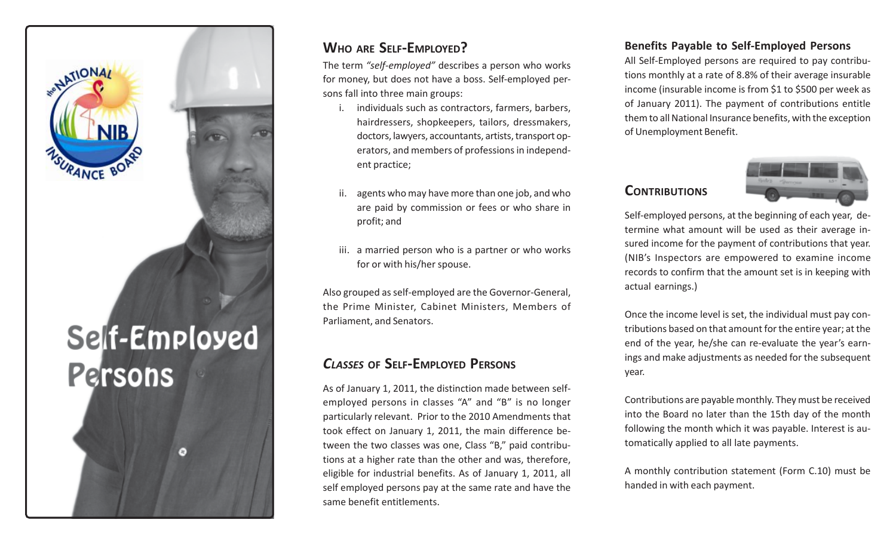

## **WHO ARE SELF-EMPLOYED?**

The term *"self-employed"* describes a person who works for money, but does not have a boss. Self-employed persons fall into three main groups:

- i. individuals such as contractors, farmers, barbers, hairdressers, shopkeepers, tailors, dressmakers, doctors, lawyers, accountants, artists, transport operators, and members of professions in independent practice;
- ii. agents who may have more than one job, and who are paid by commission or fees or who share in profit; and
- iii. a married person who is a partner or who works for or with his/her spouse.

Also grouped as self-employed are the Governor-General, the Prime Minister, Cabinet Ministers, Members of Parliament, and Senators.

## *CLASSES* **OF SELF-EMPLOYED PERSONS**

As of January 1, 2011, the distinction made between selfemployed persons in classes "A" and "B" is no longer particularly relevant. Prior to the 2010 Amendments that took effect on January 1, 2011, the main difference between the two classes was one, Class "B," paid contributions at a higher rate than the other and was, therefore, eligible for industrial benefits. As of January 1, 2011, all self employed persons pay at the same rate and have the same benefit entitlements.

#### **Benefits Payable to Self-Employed Persons**

All Self-Employed persons are required to pay contributions monthly at a rate of 8.8% of their average insurable income (insurable income is from \$1 to \$500 per week as of January 2011). The payment of contributions entitle them to all National Insurance benefits, with the exception of Unemployment Benefit.

#### **CONTRIBUTIONS**



Self-employed persons, at the beginning of each year, determine what amount will be used as their average insured income for the payment of contributions that year. (NIB's Inspectors are empowered to examine income records to confirm that the amount set is in keeping with actual earnings.)

Once the income level is set, the individual must pay contributions based on that amount for the entire year; at the end of the year, he/she can re-evaluate the year's earnings and make adjustments as needed for the subsequent year.

Contributions are payable monthly. They must be received into the Board no later than the 15th day of the month following the month which it was payable. Interest is automatically applied to all late payments.

A monthly contribution statement (Form C.10) must be handed in with each payment.